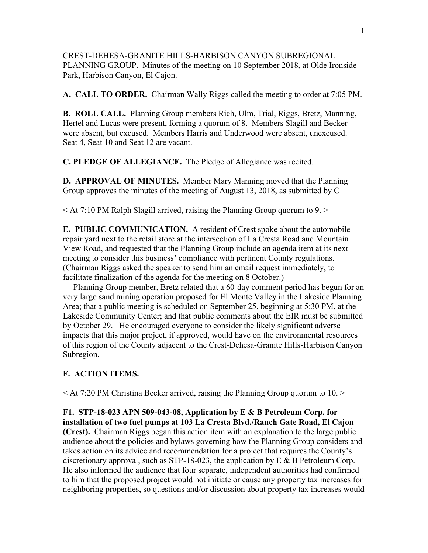CREST-DEHESA-GRANITE HILLS-HARBISON CANYON SUBREGIONAL PLANNING GROUP. Minutes of the meeting on 10 September 2018, at Olde Ironside Park, Harbison Canyon, El Cajon.

**A. CALL TO ORDER.** Chairman Wally Riggs called the meeting to order at 7:05 PM.

**B. ROLL CALL.** Planning Group members Rich, Ulm, Trial, Riggs, Bretz, Manning, Hertel and Lucas were present, forming a quorum of 8. Members Slagill and Becker were absent, but excused. Members Harris and Underwood were absent, unexcused. Seat 4, Seat 10 and Seat 12 are vacant.

**C. PLEDGE OF ALLEGIANCE.** The Pledge of Allegiance was recited.

**D. APPROVAL OF MINUTES.** Member Mary Manning moved that the Planning Group approves the minutes of the meeting of August 13, 2018, as submitted by C

 $\leq$  At 7:10 PM Ralph Slagill arrived, raising the Planning Group quorum to 9.  $\geq$ 

**E. PUBLIC COMMUNICATION.** A resident of Crest spoke about the automobile repair yard next to the retail store at the intersection of La Cresta Road and Mountain View Road, and requested that the Planning Group include an agenda item at its next meeting to consider this business' compliance with pertinent County regulations. (Chairman Riggs asked the speaker to send him an email request immediately, to facilitate finalization of the agenda for the meeting on 8 October.)

 Planning Group member, Bretz related that a 60-day comment period has begun for an very large sand mining operation proposed for El Monte Valley in the Lakeside Planning Area; that a public meeting is scheduled on September 25, beginning at 5:30 PM, at the Lakeside Community Center; and that public comments about the EIR must be submitted by October 29. He encouraged everyone to consider the likely significant adverse impacts that this major project, if approved, would have on the environmental resources of this region of the County adjacent to the Crest-Dehesa-Granite Hills-Harbison Canyon Subregion.

## **F. ACTION ITEMS.**

< At 7:20 PM Christina Becker arrived, raising the Planning Group quorum to 10. >

**F1. STP-18-023 APN 509-043-08, Application by E & B Petroleum Corp. for installation of two fuel pumps at 103 La Cresta Blvd./Ranch Gate Road, El Cajon (Crest).** Chairman Riggs began this action item with an explanation to the large public audience about the policies and bylaws governing how the Planning Group considers and takes action on its advice and recommendation for a project that requires the County's discretionary approval, such as STP-18-023, the application by E & B Petroleum Corp. He also informed the audience that four separate, independent authorities had confirmed to him that the proposed project would not initiate or cause any property tax increases for neighboring properties, so questions and/or discussion about property tax increases would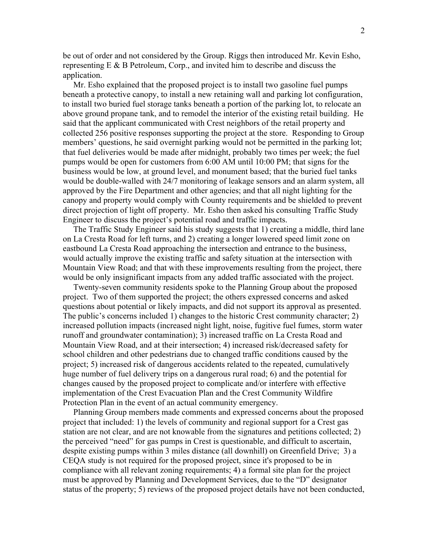be out of order and not considered by the Group. Riggs then introduced Mr. Kevin Esho, representing E & B Petroleum, Corp., and invited him to describe and discuss the application.

 Mr. Esho explained that the proposed project is to install two gasoline fuel pumps beneath a protective canopy, to install a new retaining wall and parking lot configuration, to install two buried fuel storage tanks beneath a portion of the parking lot, to relocate an above ground propane tank, and to remodel the interior of the existing retail building. He said that the applicant communicated with Crest neighbors of the retail property and collected 256 positive responses supporting the project at the store. Responding to Group members' questions, he said overnight parking would not be permitted in the parking lot; that fuel deliveries would be made after midnight, probably two times per week; the fuel pumps would be open for customers from 6:00 AM until 10:00 PM; that signs for the business would be low, at ground level, and monument based; that the buried fuel tanks would be double-walled with 24/7 monitoring of leakage sensors and an alarm system, all approved by the Fire Department and other agencies; and that all night lighting for the canopy and property would comply with County requirements and be shielded to prevent direct projection of light off property. Mr. Esho then asked his consulting Traffic Study Engineer to discuss the project's potential road and traffic impacts.

 The Traffic Study Engineer said his study suggests that 1) creating a middle, third lane on La Cresta Road for left turns, and 2) creating a longer lowered speed limit zone on eastbound La Cresta Road approaching the intersection and entrance to the business, would actually improve the existing traffic and safety situation at the intersection with Mountain View Road; and that with these improvements resulting from the project, there would be only insignificant impacts from any added traffic associated with the project.

 Twenty-seven community residents spoke to the Planning Group about the proposed project. Two of them supported the project; the others expressed concerns and asked questions about potential or likely impacts, and did not support its approval as presented. The public's concerns included 1) changes to the historic Crest community character; 2) increased pollution impacts (increased night light, noise, fugitive fuel fumes, storm water runoff and groundwater contamination); 3) increased traffic on La Cresta Road and Mountain View Road, and at their intersection; 4) increased risk/decreased safety for school children and other pedestrians due to changed traffic conditions caused by the project; 5) increased risk of dangerous accidents related to the repeated, cumulatively huge number of fuel delivery trips on a dangerous rural road; 6) and the potential for changes caused by the proposed project to complicate and/or interfere with effective implementation of the Crest Evacuation Plan and the Crest Community Wildfire Protection Plan in the event of an actual community emergency.

 Planning Group members made comments and expressed concerns about the proposed project that included: 1) the levels of community and regional support for a Crest gas station are not clear, and are not knowable from the signatures and petitions collected; 2) the perceived "need" for gas pumps in Crest is questionable, and difficult to ascertain, despite existing pumps within 3 miles distance (all downhill) on Greenfield Drive; 3) a CEQA study is not required for the proposed project, since it's proposed to be in compliance with all relevant zoning requirements; 4) a formal site plan for the project must be approved by Planning and Development Services, due to the "D" designator status of the property; 5) reviews of the proposed project details have not been conducted,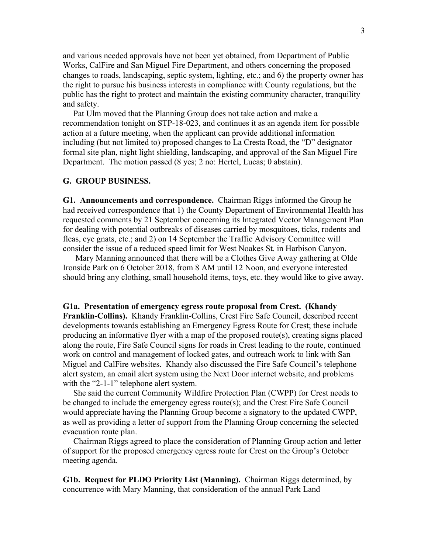and various needed approvals have not been yet obtained, from Department of Public Works, CalFire and San Miguel Fire Department, and others concerning the proposed changes to roads, landscaping, septic system, lighting, etc.; and 6) the property owner has the right to pursue his business interests in compliance with County regulations, but the public has the right to protect and maintain the existing community character, tranquility and safety.

 Pat Ulm moved that the Planning Group does not take action and make a recommendation tonight on STP-18-023, and continues it as an agenda item for possible action at a future meeting, when the applicant can provide additional information including (but not limited to) proposed changes to La Cresta Road, the "D" designator formal site plan, night light shielding, landscaping, and approval of the San Miguel Fire Department. The motion passed (8 yes; 2 no: Hertel, Lucas; 0 abstain).

## **G. GROUP BUSINESS.**

**G1. Announcements and correspondence.** Chairman Riggs informed the Group he had received correspondence that 1) the County Department of Environmental Health has requested comments by 21 September concerning its Integrated Vector Management Plan for dealing with potential outbreaks of diseases carried by mosquitoes, ticks, rodents and fleas, eye gnats, etc.; and 2) on 14 September the Traffic Advisory Committee will consider the issue of a reduced speed limit for West Noakes St. in Harbison Canyon.

 Mary Manning announced that there will be a Clothes Give Away gathering at Olde Ironside Park on 6 October 2018, from 8 AM until 12 Noon, and everyone interested should bring any clothing, small household items, toys, etc. they would like to give away.

**G1a. Presentation of emergency egress route proposal from Crest. (Khandy Franklin-Collins).** Khandy Franklin-Collins, Crest Fire Safe Council, described recent developments towards establishing an Emergency Egress Route for Crest; these include producing an informative flyer with a map of the proposed route(s), creating signs placed along the route, Fire Safe Council signs for roads in Crest leading to the route, continued work on control and management of locked gates, and outreach work to link with San Miguel and CalFire websites. Khandy also discussed the Fire Safe Council's telephone alert system, an email alert system using the Next Door internet website, and problems with the "2-1-1" telephone alert system.

 She said the current Community Wildfire Protection Plan (CWPP) for Crest needs to be changed to include the emergency egress route(s); and the Crest Fire Safe Council would appreciate having the Planning Group become a signatory to the updated CWPP, as well as providing a letter of support from the Planning Group concerning the selected evacuation route plan.

 Chairman Riggs agreed to place the consideration of Planning Group action and letter of support for the proposed emergency egress route for Crest on the Group's October meeting agenda.

**G1b. Request for PLDO Priority List (Manning).** Chairman Riggs determined, by concurrence with Mary Manning, that consideration of the annual Park Land